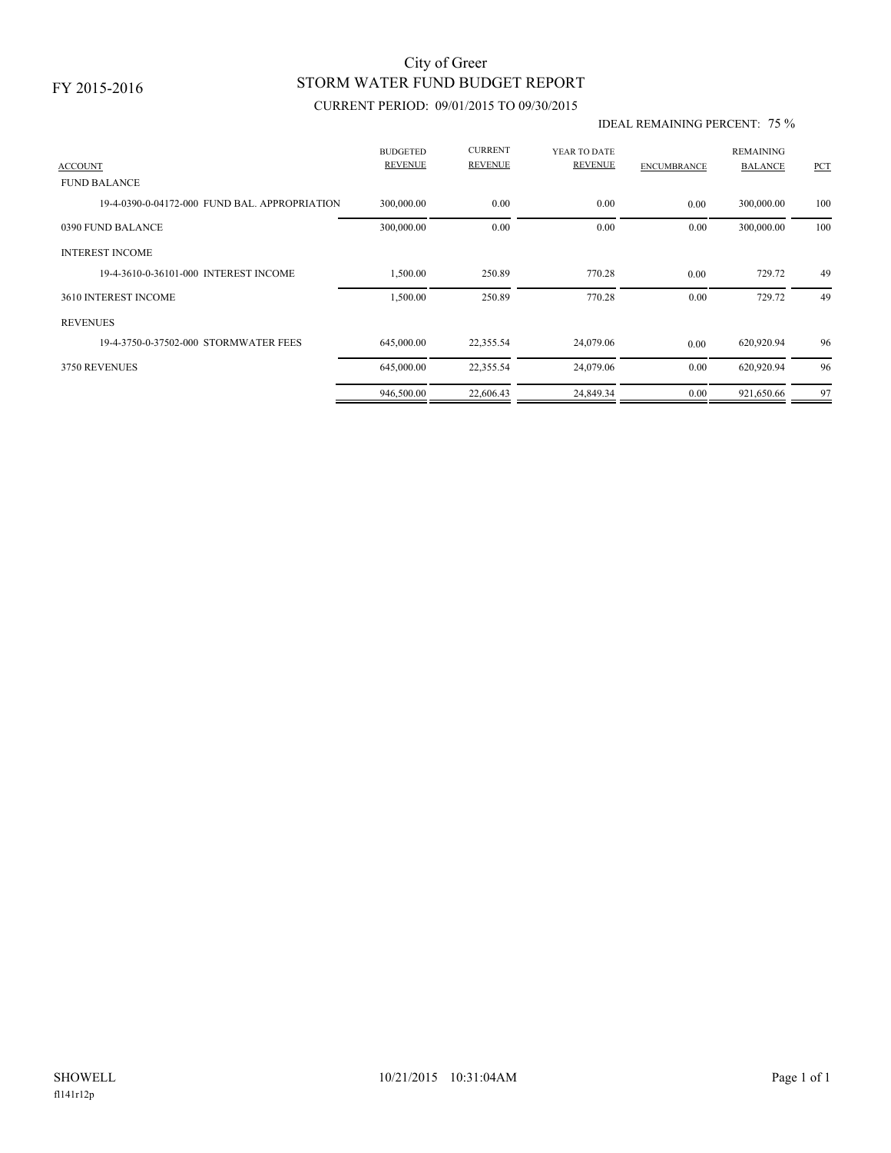## STORM WATER FUND BUDGET REPORT City of Greer

### CURRENT PERIOD: 09/01/2015 TO 09/30/2015

#### IDEAL REMAINING PERCENT: 75 %

| <b>ACCOUNT</b>                                | <b>BUDGETED</b><br><b>REVENUE</b> | <b>CURRENT</b><br><b>REVENUE</b> | YEAR TO DATE<br><b>REVENUE</b> | <b>ENCUMBRANCE</b> | <b>REMAINING</b><br><b>BALANCE</b> | PCT |
|-----------------------------------------------|-----------------------------------|----------------------------------|--------------------------------|--------------------|------------------------------------|-----|
| <b>FUND BALANCE</b>                           |                                   |                                  |                                |                    |                                    |     |
| 19-4-0390-0-04172-000 FUND BAL, APPROPRIATION | 300,000.00                        | 0.00                             | 0.00                           | 0.00               | 300,000.00                         | 100 |
| 0390 FUND BALANCE                             | 300,000.00                        | 0.00                             | 0.00                           | 0.00               | 300,000.00                         | 100 |
| <b>INTEREST INCOME</b>                        |                                   |                                  |                                |                    |                                    |     |
| 19-4-3610-0-36101-000 INTEREST INCOME         | 1,500.00                          | 250.89                           | 770.28                         | 0.00               | 729.72                             | 49  |
| 3610 INTEREST INCOME                          | 1,500.00                          | 250.89                           | 770.28                         | 0.00               | 729.72                             | 49  |
| <b>REVENUES</b>                               |                                   |                                  |                                |                    |                                    |     |
| 19-4-3750-0-37502-000 STORMWATER FEES         | 645,000.00                        | 22,355.54                        | 24,079.06                      | 0.00               | 620,920.94                         | 96  |
| 3750 REVENUES                                 | 645,000.00                        | 22,355.54                        | 24,079.06                      | 0.00               | 620,920.94                         | 96  |
|                                               | 946,500.00                        | 22,606.43                        | 24,849.34                      | 0.00               | 921,650.66                         | 97  |